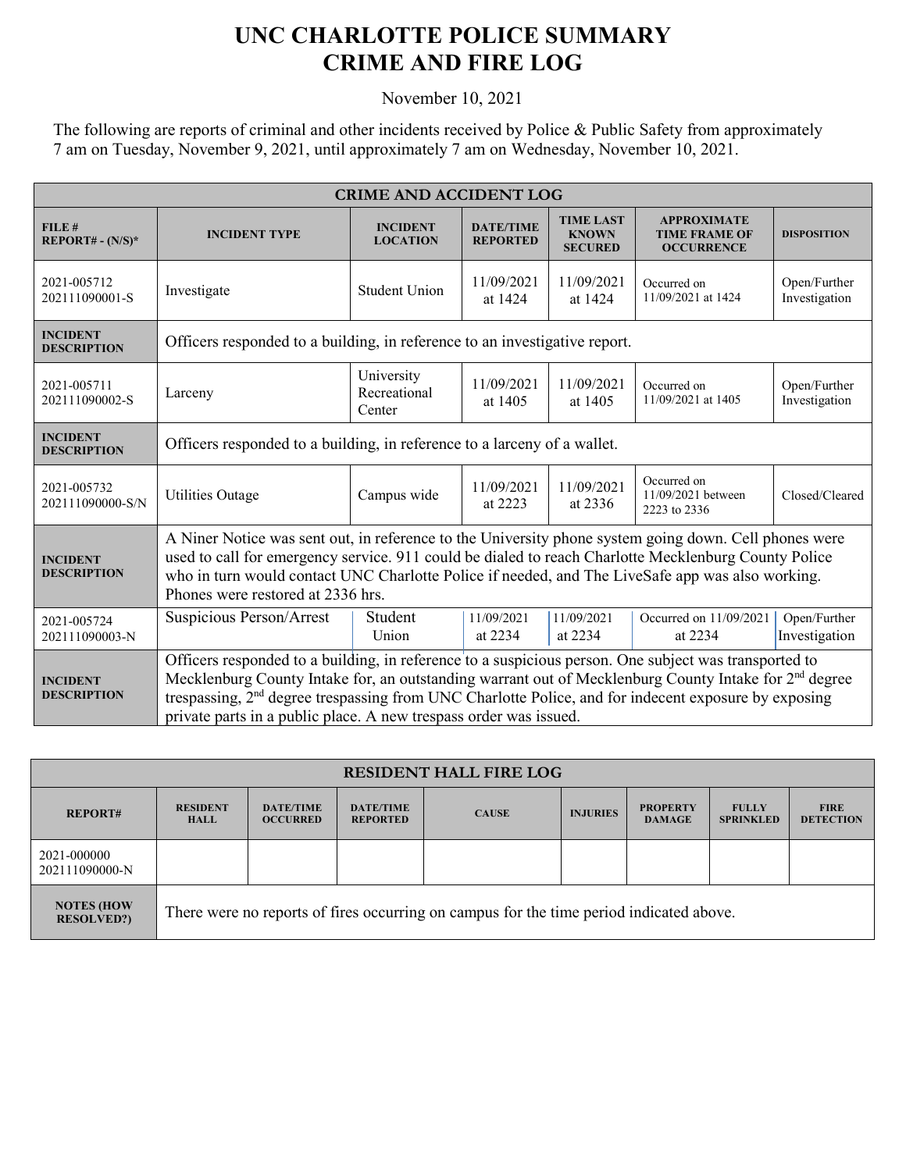## **UNC CHARLOTTE POLICE SUMMARY CRIME AND FIRE LOG**

November 10, 2021

The following are reports of criminal and other incidents received by Police & Public Safety from approximately 7 am on Tuesday, November 9, 2021, until approximately 7 am on Wednesday, November 10, 2021.

| <b>CRIME AND ACCIDENT LOG</b>         |                                                                                                                                                                                                                                                                                                                                                                                                                     |                                      |                                     |                                                    |                                                                 |                               |  |
|---------------------------------------|---------------------------------------------------------------------------------------------------------------------------------------------------------------------------------------------------------------------------------------------------------------------------------------------------------------------------------------------------------------------------------------------------------------------|--------------------------------------|-------------------------------------|----------------------------------------------------|-----------------------------------------------------------------|-------------------------------|--|
| FILE#<br>$REPORT# - (N/S)*$           | <b>INCIDENT TYPE</b>                                                                                                                                                                                                                                                                                                                                                                                                | <b>INCIDENT</b><br><b>LOCATION</b>   | <b>DATE/TIME</b><br><b>REPORTED</b> | <b>TIME LAST</b><br><b>KNOWN</b><br><b>SECURED</b> | <b>APPROXIMATE</b><br><b>TIME FRAME OF</b><br><b>OCCURRENCE</b> | <b>DISPOSITION</b>            |  |
| 2021-005712<br>202111090001-S         | Investigate                                                                                                                                                                                                                                                                                                                                                                                                         | <b>Student Union</b>                 | 11/09/2021<br>at 1424               | 11/09/2021<br>at 1424                              | Occurred on<br>11/09/2021 at 1424                               | Open/Further<br>Investigation |  |
| <b>INCIDENT</b><br><b>DESCRIPTION</b> | Officers responded to a building, in reference to an investigative report.                                                                                                                                                                                                                                                                                                                                          |                                      |                                     |                                                    |                                                                 |                               |  |
| 2021-005711<br>202111090002-S         | Larceny                                                                                                                                                                                                                                                                                                                                                                                                             | University<br>Recreational<br>Center | 11/09/2021<br>at 1405               | 11/09/2021<br>at 1405                              | Occurred on<br>11/09/2021 at 1405                               | Open/Further<br>Investigation |  |
| <b>INCIDENT</b><br><b>DESCRIPTION</b> | Officers responded to a building, in reference to a larceny of a wallet.                                                                                                                                                                                                                                                                                                                                            |                                      |                                     |                                                    |                                                                 |                               |  |
| 2021-005732<br>202111090000-S/N       | <b>Utilities Outage</b>                                                                                                                                                                                                                                                                                                                                                                                             | Campus wide                          | 11/09/2021<br>at 2223               | 11/09/2021<br>at 2336                              | Occurred on<br>11/09/2021 between<br>2223 to 2336               | Closed/Cleared                |  |
| <b>INCIDENT</b><br><b>DESCRIPTION</b> | A Niner Notice was sent out, in reference to the University phone system going down. Cell phones were<br>used to call for emergency service. 911 could be dialed to reach Charlotte Mecklenburg County Police<br>who in turn would contact UNC Charlotte Police if needed, and The LiveSafe app was also working.<br>Phones were restored at 2336 hrs.                                                              |                                      |                                     |                                                    |                                                                 |                               |  |
| 2021-005724<br>202111090003-N         | Suspicious Person/Arrest                                                                                                                                                                                                                                                                                                                                                                                            | Student<br>Union                     | 11/09/2021<br>at 2234               | 11/09/2021<br>at 2234                              | Occurred on 11/09/2021<br>at 2234                               | Open/Further<br>Investigation |  |
| <b>INCIDENT</b><br><b>DESCRIPTION</b> | Officers responded to a building, in reference to a suspicious person. One subject was transported to<br>Mecklenburg County Intake for, an outstanding warrant out of Mecklenburg County Intake for 2 <sup>nd</sup> degree<br>trespassing, 2 <sup>nd</sup> degree trespassing from UNC Charlotte Police, and for indecent exposure by exposing<br>private parts in a public place. A new trespass order was issued. |                                      |                                     |                                                    |                                                                 |                               |  |

| <b>RESIDENT HALL FIRE LOG</b>          |                                                                                         |                                     |                                     |              |                 |                                  |                                  |                                 |
|----------------------------------------|-----------------------------------------------------------------------------------------|-------------------------------------|-------------------------------------|--------------|-----------------|----------------------------------|----------------------------------|---------------------------------|
| <b>REPORT#</b>                         | <b>RESIDENT</b><br><b>HALL</b>                                                          | <b>DATE/TIME</b><br><b>OCCURRED</b> | <b>DATE/TIME</b><br><b>REPORTED</b> | <b>CAUSE</b> | <b>INJURIES</b> | <b>PROPERTY</b><br><b>DAMAGE</b> | <b>FULLY</b><br><b>SPRINKLED</b> | <b>FIRE</b><br><b>DETECTION</b> |
| 2021-000000<br>202111090000-N          |                                                                                         |                                     |                                     |              |                 |                                  |                                  |                                 |
| <b>NOTES (HOW</b><br><b>RESOLVED?)</b> | There were no reports of fires occurring on campus for the time period indicated above. |                                     |                                     |              |                 |                                  |                                  |                                 |